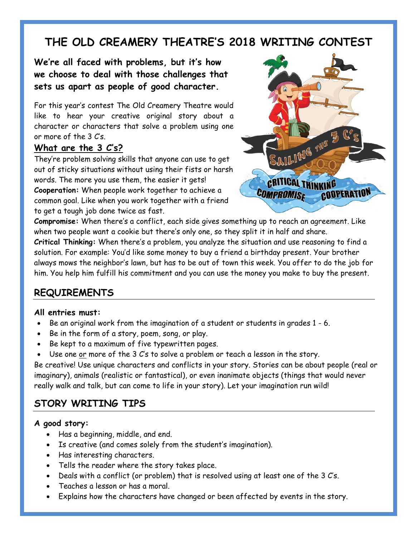# **THE OLD CREAMERY THEATRE'S 2018 WRITING CONTEST**

**We're all faced with problems, but it's how we choose to deal with those challenges that sets us apart as people of good character.** 

For this year's contest The Old Creamery Theatre would like to hear your creative original story about a character or characters that solve a problem using one or more of the 3 C's.

#### **What are the 3 C's?**

They're problem solving skills that anyone can use to get out of sticky situations without using their fists or harsh words. The more you use them, the easier it gets! **Cooperation:** When people work together to achieve a common goal. Like when you work together with a friend to get a tough job done twice as fast.



**Compromise:** When there's a conflict, each side gives something up to reach an agreement. Like when two people want a cookie but there's only one, so they split it in half and share.

**Critical Thinking:** When there's a problem, you analyze the situation and use reasoning to find a solution. For example: You'd like some money to buy a friend a birthday present. Your brother always mows the neighbor's lawn, but has to be out of town this week. You offer to do the job for him. You help him fulfill his commitment and you can use the money you make to buy the present.

## **REQUIREMENTS**

#### **All entries must:**

- Be an original work from the imagination of a student or students in grades 1 6.
- Be in the form of a story, poem, song, or play.
- Be kept to a maximum of five typewritten pages.
- Use one or more of the 3 C's to solve a problem or teach a lesson in the story.

Be creative! Use unique characters and conflicts in your story. Stories can be about people (real or imaginary), animals (realistic or fantastical), or even inanimate objects (things that would never really walk and talk, but can come to life in your story). Let your imagination run wild!

### **STORY WRITING TIPS**

#### **A good story:**

- Has a beginning, middle, and end.
- Is creative (and comes solely from the student's imagination).
- Has interesting characters.
- Tells the reader where the story takes place.
- Deals with a conflict (or problem) that is resolved using at least one of the 3 C's.
- Teaches a lesson or has a moral.
- Explains how the characters have changed or been affected by events in the story.